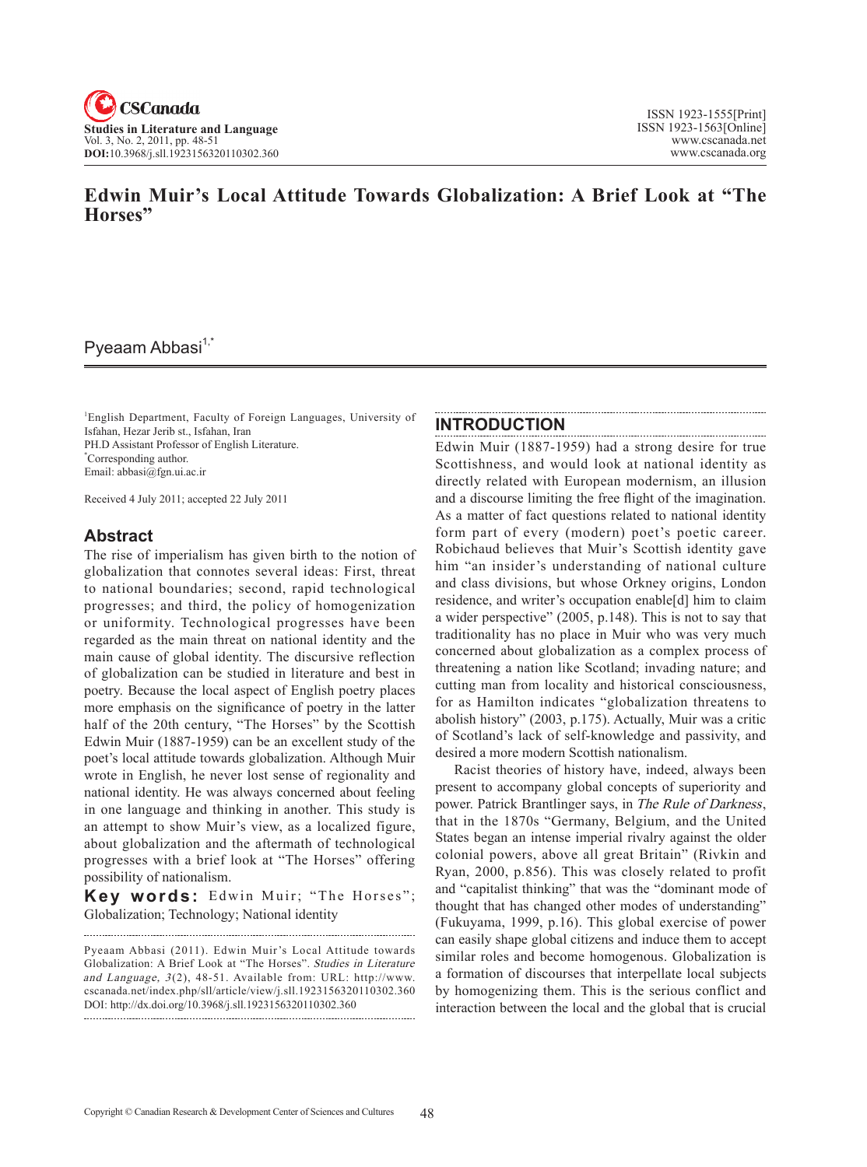

# **Edwin Muir's Local Attitude Towards Globalization: A Brief Look at "The Horses"**

## Pyeaam Abbasi<sup>1,\*</sup>

1 English Department, Faculty of Foreign Languages, University of Isfahan, Hezar Jerib st., Isfahan, Iran PH.D Assistant Professor of English Literature. \* Corresponding author. Email: abbasi@fgn.ui.ac.ir

Received 4 July 2011; accepted 22 July 2011

#### **Abstract**

The rise of imperialism has given birth to the notion of globalization that connotes several ideas: First, threat to national boundaries; second, rapid technological progresses; and third, the policy of homogenization or uniformity. Technological progresses have been regarded as the main threat on national identity and the main cause of global identity. The discursive reflection of globalization can be studied in literature and best in poetry. Because the local aspect of English poetry places more emphasis on the significance of poetry in the latter half of the 20th century, "The Horses" by the Scottish Edwin Muir (1887-1959) can be an excellent study of the poet's local attitude towards globalization. Although Muir wrote in English, he never lost sense of regionality and national identity. He was always concerned about feeling in one language and thinking in another. This study is an attempt to show Muir's view, as a localized figure, about globalization and the aftermath of technological progresses with a brief look at "The Horses" offering possibility of nationalism.

Key words: Edwin Muir; "The Horses"; Globalization; Technology; National identity

Pyeaam Abbasi (2011). Edwin Muir's Local Attitude towards Globalization: A Brief Look at "The Horses". Studies in Literature and Language, 3(2), 48-51. Available from: URL: http://www. cscanada.net/index.php/sll/article/view/j.sll.1923156320110302.360 DOI: http://dx.doi.org/10.3968/j.sll.1923156320110302.360

### **Introduction**

Edwin Muir (1887-1959) had a strong desire for true Scottishness, and would look at national identity as directly related with European modernism, an illusion and a discourse limiting the free flight of the imagination. As a matter of fact questions related to national identity form part of every (modern) poet's poetic career. Robichaud believes that Muir's Scottish identity gave him "an insider's understanding of national culture and class divisions, but whose Orkney origins, London residence, and writer's occupation enable[d] him to claim a wider perspective" (2005, p.148). This is not to say that traditionality has no place in Muir who was very much concerned about globalization as a complex process of threatening a nation like Scotland; invading nature; and cutting man from locality and historical consciousness, for as Hamilton indicates "globalization threatens to abolish history" (2003, p.175). Actually, Muir was a critic of Scotland's lack of self-knowledge and passivity, and desired a more modern Scottish nationalism.

Racist theories of history have, indeed, always been present to accompany global concepts of superiority and power. Patrick Brantlinger says, in The Rule of Darkness, that in the 1870s "Germany, Belgium, and the United States began an intense imperial rivalry against the older colonial powers, above all great Britain" (Rivkin and Ryan, 2000, p.856). This was closely related to profit and "capitalist thinking" that was the "dominant mode of thought that has changed other modes of understanding" (Fukuyama, 1999, p.16). This global exercise of power can easily shape global citizens and induce them to accept similar roles and become homogenous. Globalization is a formation of discourses that interpellate local subjects by homogenizing them. This is the serious conflict and interaction between the local and the global that is crucial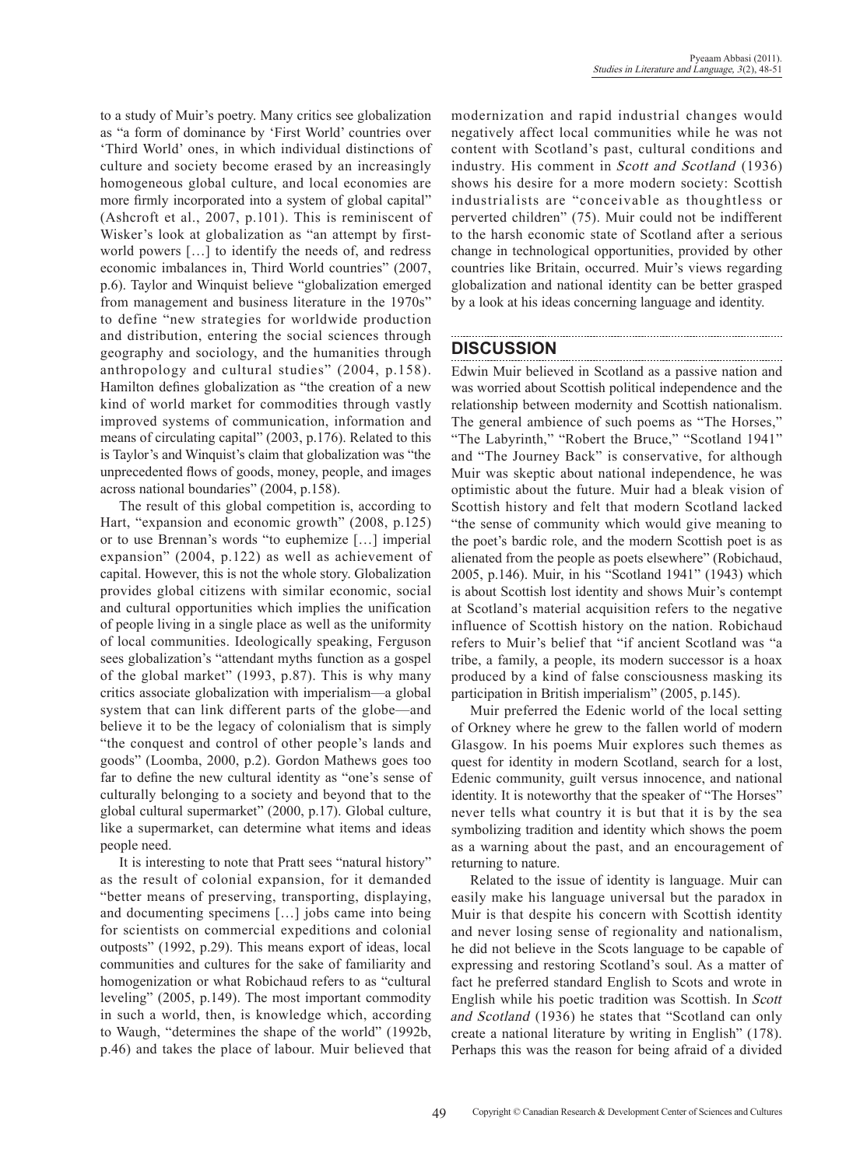to a study of Muir's poetry. Many critics see globalization as "a form of dominance by 'First World' countries over 'Third World' ones, in which individual distinctions of culture and society become erased by an increasingly homogeneous global culture, and local economies are more firmly incorporated into a system of global capital" (Ashcroft et al., 2007, p.101). This is reminiscent of Wisker's look at globalization as "an attempt by firstworld powers […] to identify the needs of, and redress economic imbalances in, Third World countries" (2007, p.6). Taylor and Winquist believe "globalization emerged from management and business literature in the 1970s" to define "new strategies for worldwide production and distribution, entering the social sciences through geography and sociology, and the humanities through anthropology and cultural studies" (2004, p.158). Hamilton defines globalization as "the creation of a new kind of world market for commodities through vastly improved systems of communication, information and means of circulating capital" (2003, p.176). Related to this is Taylor's and Winquist's claim that globalization was "the unprecedented flows of goods, money, people, and images across national boundaries" (2004, p.158).

The result of this global competition is, according to Hart, "expansion and economic growth" (2008, p.125) or to use Brennan's words "to euphemize […] imperial expansion" (2004, p.122) as well as achievement of capital. However, this is not the whole story. Globalization provides global citizens with similar economic, social and cultural opportunities which implies the unification of people living in a single place as well as the uniformity of local communities. Ideologically speaking, Ferguson sees globalization's "attendant myths function as a gospel of the global market" (1993, p.87). This is why many critics associate globalization with imperialism—a global system that can link different parts of the globe—and believe it to be the legacy of colonialism that is simply "the conquest and control of other people's lands and goods" (Loomba, 2000, p.2). Gordon Mathews goes too far to define the new cultural identity as "one's sense of culturally belonging to a society and beyond that to the global cultural supermarket" (2000, p.17). Global culture, like a supermarket, can determine what items and ideas people need.

It is interesting to note that Pratt sees "natural history" as the result of colonial expansion, for it demanded "better means of preserving, transporting, displaying, and documenting specimens […] jobs came into being for scientists on commercial expeditions and colonial outposts" (1992, p.29). This means export of ideas, local communities and cultures for the sake of familiarity and homogenization or what Robichaud refers to as "cultural leveling" (2005, p.149). The most important commodity in such a world, then, is knowledge which, according to Waugh, "determines the shape of the world" (1992b, p.46) and takes the place of labour. Muir believed that modernization and rapid industrial changes would negatively affect local communities while he was not content with Scotland's past, cultural conditions and industry. His comment in Scott and Scotland (1936) shows his desire for a more modern society: Scottish industrialists are "conceivable as thoughtless or perverted children" (75). Muir could not be indifferent to the harsh economic state of Scotland after a serious change in technological opportunities, provided by other countries like Britain, occurred. Muir's views regarding globalization and national identity can be better grasped by a look at his ideas concerning language and identity.

### **Discussion**

Edwin Muir believed in Scotland as a passive nation and was worried about Scottish political independence and the relationship between modernity and Scottish nationalism. The general ambience of such poems as "The Horses," "The Labyrinth," "Robert the Bruce," "Scotland 1941" and "The Journey Back" is conservative, for although Muir was skeptic about national independence, he was optimistic about the future. Muir had a bleak vision of Scottish history and felt that modern Scotland lacked "the sense of community which would give meaning to the poet's bardic role, and the modern Scottish poet is as alienated from the people as poets elsewhere" (Robichaud, 2005, p.146). Muir, in his "Scotland 1941" (1943) which is about Scottish lost identity and shows Muir's contempt at Scotland's material acquisition refers to the negative influence of Scottish history on the nation. Robichaud refers to Muir's belief that "if ancient Scotland was "a tribe, a family, a people, its modern successor is a hoax produced by a kind of false consciousness masking its participation in British imperialism" (2005, p.145).

Muir preferred the Edenic world of the local setting of Orkney where he grew to the fallen world of modern Glasgow. In his poems Muir explores such themes as quest for identity in modern Scotland, search for a lost, Edenic community, guilt versus innocence, and national identity. It is noteworthy that the speaker of "The Horses" never tells what country it is but that it is by the sea symbolizing tradition and identity which shows the poem as a warning about the past, and an encouragement of returning to nature.

Related to the issue of identity is language. Muir can easily make his language universal but the paradox in Muir is that despite his concern with Scottish identity and never losing sense of regionality and nationalism, he did not believe in the Scots language to be capable of expressing and restoring Scotland's soul. As a matter of fact he preferred standard English to Scots and wrote in English while his poetic tradition was Scottish. In Scott and Scotland (1936) he states that "Scotland can only create a national literature by writing in English" (178). Perhaps this was the reason for being afraid of a divided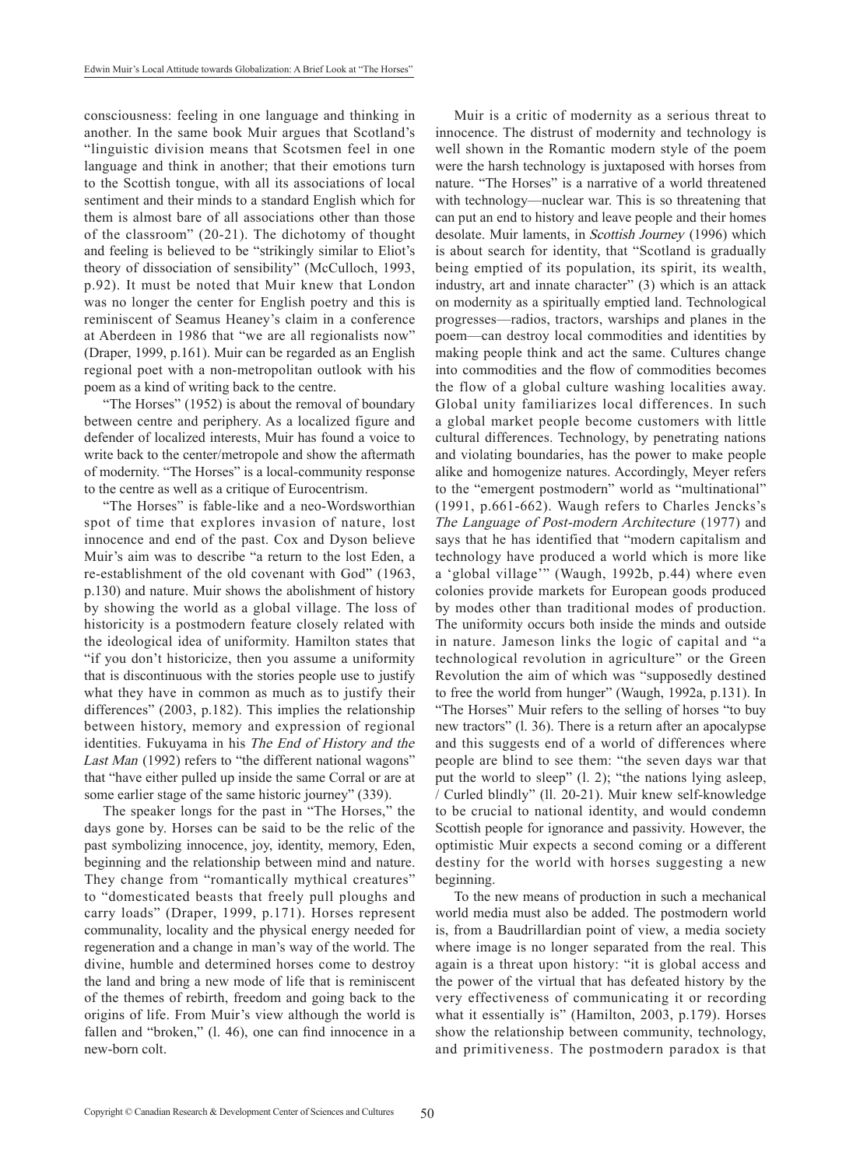consciousness: feeling in one language and thinking in another. In the same book Muir argues that Scotland's "linguistic division means that Scotsmen feel in one language and think in another; that their emotions turn to the Scottish tongue, with all its associations of local sentiment and their minds to a standard English which for them is almost bare of all associations other than those of the classroom" (20-21). The dichotomy of thought and feeling is believed to be "strikingly similar to Eliot's theory of dissociation of sensibility" (McCulloch, 1993, p.92). It must be noted that Muir knew that London was no longer the center for English poetry and this is reminiscent of Seamus Heaney's claim in a conference at Aberdeen in 1986 that "we are all regionalists now" (Draper, 1999, p.161). Muir can be regarded as an English regional poet with a non-metropolitan outlook with his poem as a kind of writing back to the centre.

"The Horses" (1952) is about the removal of boundary between centre and periphery. As a localized figure and defender of localized interests, Muir has found a voice to write back to the center/metropole and show the aftermath of modernity. "The Horses" is a local-community response to the centre as well as a critique of Eurocentrism.

"The Horses" is fable-like and a neo-Wordsworthian spot of time that explores invasion of nature, lost innocence and end of the past. Cox and Dyson believe Muir's aim was to describe "a return to the lost Eden, a re-establishment of the old covenant with God" (1963, p.130) and nature. Muir shows the abolishment of history by showing the world as a global village. The loss of historicity is a postmodern feature closely related with the ideological idea of uniformity. Hamilton states that "if you don't historicize, then you assume a uniformity that is discontinuous with the stories people use to justify what they have in common as much as to justify their differences" (2003, p.182). This implies the relationship between history, memory and expression of regional identities. Fukuyama in his The End of History and the Last Man (1992) refers to "the different national wagons" that "have either pulled up inside the same Corral or are at some earlier stage of the same historic journey" (339).

The speaker longs for the past in "The Horses," the days gone by. Horses can be said to be the relic of the past symbolizing innocence, joy, identity, memory, Eden, beginning and the relationship between mind and nature. They change from "romantically mythical creatures" to "domesticated beasts that freely pull ploughs and carry loads" (Draper, 1999, p.171). Horses represent communality, locality and the physical energy needed for regeneration and a change in man's way of the world. The divine, humble and determined horses come to destroy the land and bring a new mode of life that is reminiscent of the themes of rebirth, freedom and going back to the origins of life. From Muir's view although the world is fallen and "broken," (l. 46), one can find innocence in a new-born colt.

Muir is a critic of modernity as a serious threat to innocence. The distrust of modernity and technology is well shown in the Romantic modern style of the poem were the harsh technology is juxtaposed with horses from nature. "The Horses" is a narrative of a world threatened with technology—nuclear war. This is so threatening that can put an end to history and leave people and their homes desolate. Muir laments, in Scottish Journey (1996) which is about search for identity, that "Scotland is gradually being emptied of its population, its spirit, its wealth, industry, art and innate character" (3) which is an attack on modernity as a spiritually emptied land. Technological progresses—radios, tractors, warships and planes in the poem—can destroy local commodities and identities by making people think and act the same. Cultures change into commodities and the flow of commodities becomes the flow of a global culture washing localities away. Global unity familiarizes local differences. In such a global market people become customers with little cultural differences. Technology, by penetrating nations and violating boundaries, has the power to make people alike and homogenize natures. Accordingly, Meyer refers to the "emergent postmodern" world as "multinational" (1991, p.661-662). Waugh refers to Charles Jencks's The Language of Post-modern Architecture (1977) and says that he has identified that "modern capitalism and technology have produced a world which is more like a 'global village'" (Waugh, 1992b, p.44) where even colonies provide markets for European goods produced by modes other than traditional modes of production. The uniformity occurs both inside the minds and outside in nature. Jameson links the logic of capital and "a technological revolution in agriculture" or the Green Revolution the aim of which was "supposedly destined to free the world from hunger" (Waugh, 1992a, p.131). In "The Horses" Muir refers to the selling of horses "to buy new tractors" (1. 36). There is a return after an apocalypse and this suggests end of a world of differences where people are blind to see them: "the seven days war that put the world to sleep" (l. 2); "the nations lying asleep, / Curled blindly" (ll. 20-21). Muir knew self-knowledge to be crucial to national identity, and would condemn Scottish people for ignorance and passivity. However, the optimistic Muir expects a second coming or a different destiny for the world with horses suggesting a new beginning.

To the new means of production in such a mechanical world media must also be added. The postmodern world is, from a Baudrillardian point of view, a media society where image is no longer separated from the real. This again is a threat upon history: "it is global access and the power of the virtual that has defeated history by the very effectiveness of communicating it or recording what it essentially is" (Hamilton, 2003, p.179). Horses show the relationship between community, technology, and primitiveness. The postmodern paradox is that